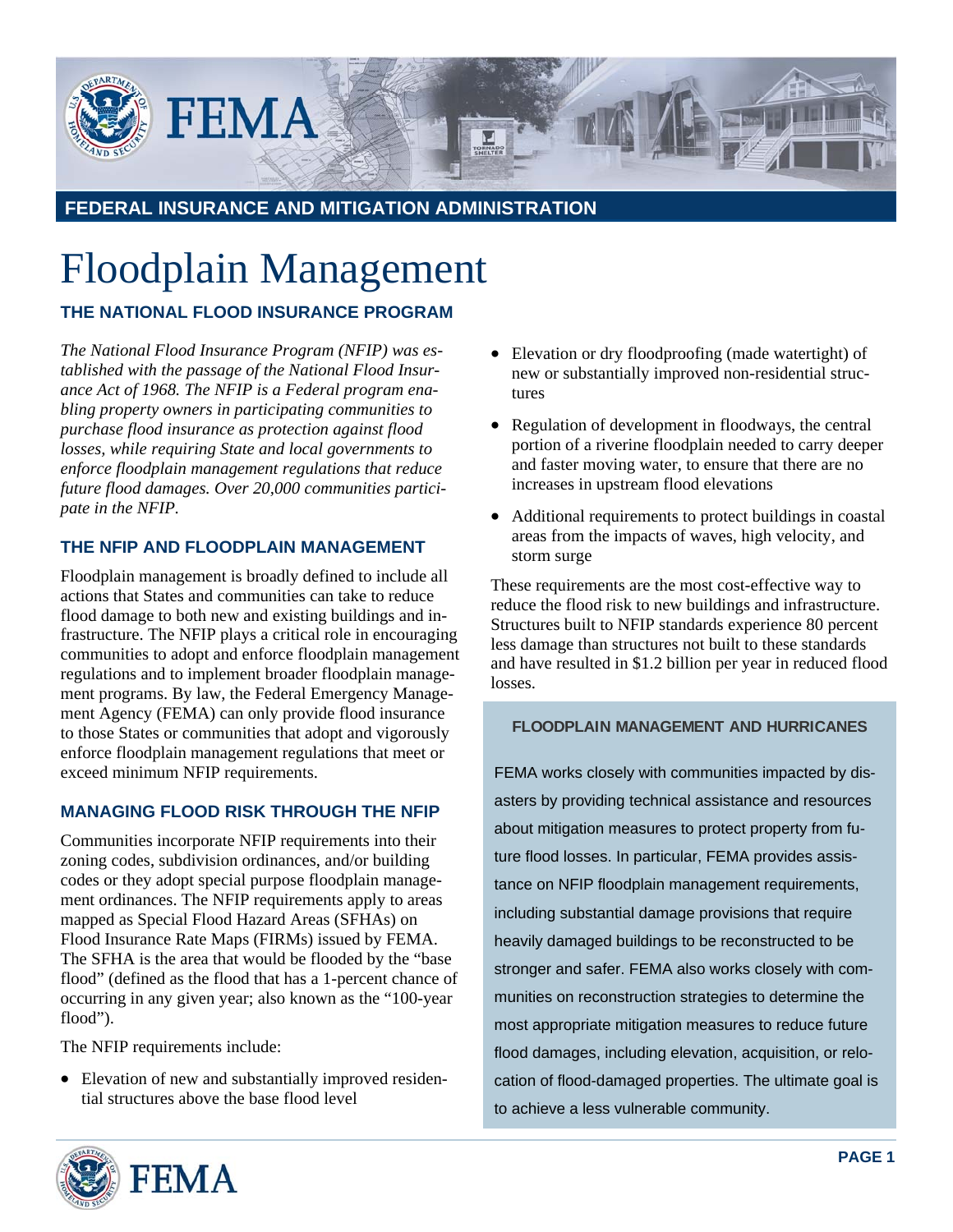

**FEDERAL INSURANCE AND MITIGATION ADMINISTRATION**

# Floodplain Management

## **THE NATIONAL FLOOD INSURANCE PROGRAM**

*The National Flood Insurance Program (NFIP) was established with the passage of the National Flood Insurance Act of 1968. The NFIP is a Federal program enabling property owners in participating communities to purchase flood insurance as protection against flood losses, while requiring State and local governments to enforce floodplain management regulations that reduce future flood damages. Over 20,000 communities participate in the NFIP.* 

## **THE NFIP AND FLOODPLAIN MANAGEMENT**

Floodplain management is broadly defined to include all actions that States and communities can take to reduce flood damage to both new and existing buildings and infrastructure. The NFIP plays a critical role in encouraging communities to adopt and enforce floodplain management regulations and to implement broader floodplain management programs. By law, the Federal Emergency Management Agency (FEMA) can only provide flood insurance to those States or communities that adopt and vigorously enforce floodplain management regulations that meet or exceed minimum NFIP requirements.

## **MANAGING FLOOD RISK THROUGH THE NFIP**

Communities incorporate NFIP requirements into their zoning codes, subdivision ordinances, and/or building codes or they adopt special purpose floodplain management ordinances. The NFIP requirements apply to areas mapped as Special Flood Hazard Areas (SFHAs) on Flood Insurance Rate Maps (FIRMs) issued by FEMA. The SFHA is the area that would be flooded by the "base flood" (defined as the flood that has a 1-percent chance of occurring in any given year; also known as the "100-year flood").

The NFIP requirements include:

• Elevation of new and substantially improved residential structures above the base flood level

- Elevation or dry floodproofing (made watertight) of new or substantially improved non-residential structures
- Regulation of development in floodways, the central portion of a riverine floodplain needed to carry deeper and faster moving water, to ensure that there are no increases in upstream flood elevations
- Additional requirements to protect buildings in coastal areas from the impacts of waves, high velocity, and storm surge

These requirements are the most cost-effective way to reduce the flood risk to new buildings and infrastructure. Structures built to NFIP standards experience 80 percent less damage than structures not built to these standards and have resulted in \$1.2 billion per year in reduced flood losses.

#### **FLOODPLAIN MANAGEMENT AND HURRICANES**

FEMA works closely with communities impacted by disasters by providing technical assistance and resources about mitigation measures to protect property from future flood losses. In particular, FEMA provides assistance on NFIP floodplain management requirements, including substantial damage provisions that require heavily damaged buildings to be reconstructed to be stronger and safer. FEMA also works closely with communities on reconstruction strategies to determine the most appropriate mitigation measures to reduce future flood damages, including elevation, acquisition, or relocation of flood-damaged properties. The ultimate goal is to achieve a less vulnerable community.